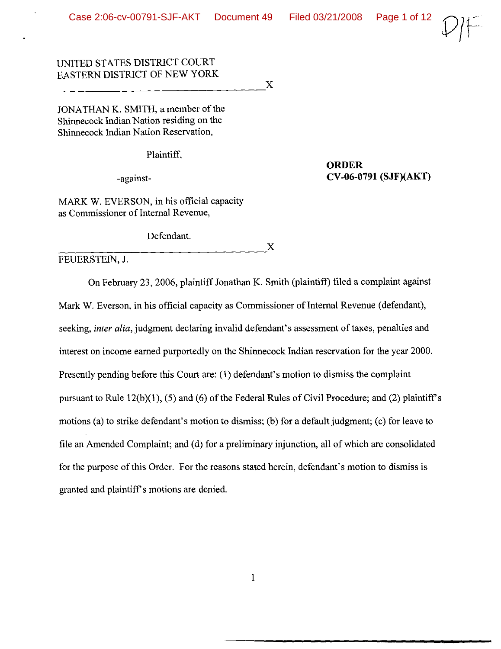**ORDER**

CV**-06-0791 (SJF)(AKT)**

 $L^2\rightarrow$ 

# UNITED STATES DISTRICT COURT EASTERN DISTRICT OF NEW YORK  $\rm _X$

JONATHAN K. SMITH, a member of the Shinnecock Indian Nation residing on the Shinnecock Indian Nation Reservation,

Plaintiff,

-against-

MARK W. EVERSON, in his official capacity as Commissioner of Internal Revenue,

Defendant.  $\frac{1}{2}$   $\frac{1}{2}$   $\frac{1}{2}$   $\frac{1}{2}$   $\frac{1}{2}$   $\frac{1}{2}$   $\frac{1}{2}$   $\frac{1}{2}$   $\frac{1}{2}$   $\frac{1}{2}$   $\frac{1}{2}$   $\frac{1}{2}$   $\frac{1}{2}$   $\frac{1}{2}$   $\frac{1}{2}$   $\frac{1}{2}$   $\frac{1}{2}$   $\frac{1}{2}$   $\frac{1}{2}$   $\frac{1}{2}$   $\frac{1}{2}$   $\frac{1}{2}$ 

FEUERSTEIN, J.

On February 23, 2006, plaintiff Jonathan K. Smith (plaintiff) filed a complaint against Mark W. Everson, in his official capacity as Commissioner of Internal Revenue (defendant), seeking, *inter alia*, judgment declaring invalid defendant's assessment of taxes, penalties and interest on income earned purportedly on the Shinnecock Indian reservation for the year 2000. Presently pending before this Court are: (l) defendant's motion to dismiss the complaint pursuant to Rule  $12(b)(1)$ , (5) and (6) of the Federal Rules of Civil Procedure; and (2) plaintiff's motions (a) to strike defendant's motion to dismiss; (b) for a default judgment; (c) for leave to file an Amended Complaint; and (d) for a preliminary injunction, all of which are consolidated for the purpose of this Order. For the reasons stated herein, defendant's motion to dismiss is granted and plaintiff's motions are denied.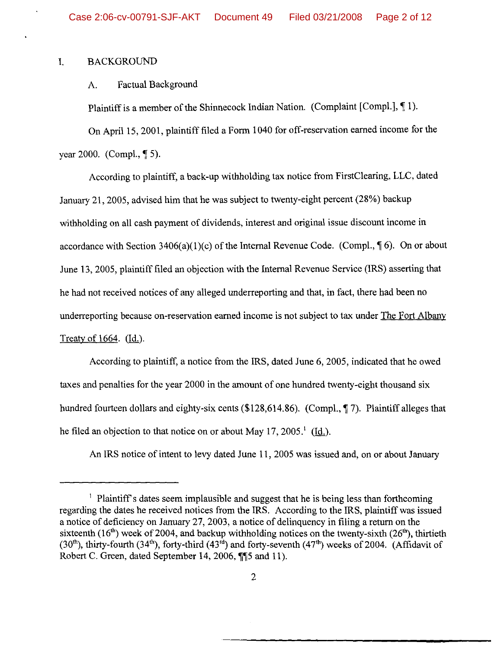#### 1. BACKGROUND

## A. Factual Background

Plaintiff is a member of the Shinnecock Indian Nation. (Complaint [Compl.], 11).

On April 15,2001, plaintifffiled a Form 1040 for off-reservation earned income for the year 2000. (Compl., ¶ 5).

According to plaintiff, a back-up withholding tax notice from FirstClearing, LLC, dated January 21, 2005, advised him that he was subject to twenty-eight percent (28%) backup withholding on all cash payment of dividends, interest and original issue discount income in accordance with Section 3406(a)(1)(c) of the Internal Revenue Code. (Compl.,  $\P$  6). On or about June 13, 2005, plaintifffiled an objection with the Internal Revenue Service (IRS) asserting that he had not received notices of any alleged underreporting and that, in fact, there had been no underreporting because on-reservation earned income is not subject to tax under The Fort Albany Treaty of  $1664.$  (Id.).

According to plaintiff, a notice from the IRS, dated June 6, 2005, indicated that he owed taxes and penalties for the year 2000 in the amount of one hundred twenty-eight thousand six hundred fourteen dollars and eighty-six cents (\$128,614.86). (Compl.,  $\P$  7). Plaintiff alleges that he filed an objection to that notice on or about May 17, 2005.<sup>1</sup> (Id.).

An IRS notice of intent to levy dated June 11, 2005 was issued and, on or about January

<sup>&</sup>lt;sup>1</sup> Plaintiff's dates seem implausible and suggest that he is being less than forthcoming regarding the dates he received notices from the IRS. According to the IRS, plaintiff was issued a notice of deficiency on January 27,2003, a notice of delinquency in filing a return on the sixteenth (16<sup>th</sup>) week of 2004, and backup withholding notices on the twenty-sixth (26<sup>th</sup>), thirtieth  $(30<sup>th</sup>)$ , thirty-fourth  $(34<sup>th</sup>)$ , forty-third  $(43<sup>rd</sup>)$  and forty-seventh  $(47<sup>th</sup>)$  weeks of 2004. (Affidavit of Robert C. Green, dated September 14, 2006,  $\P$ <sup>15</sup> and 11).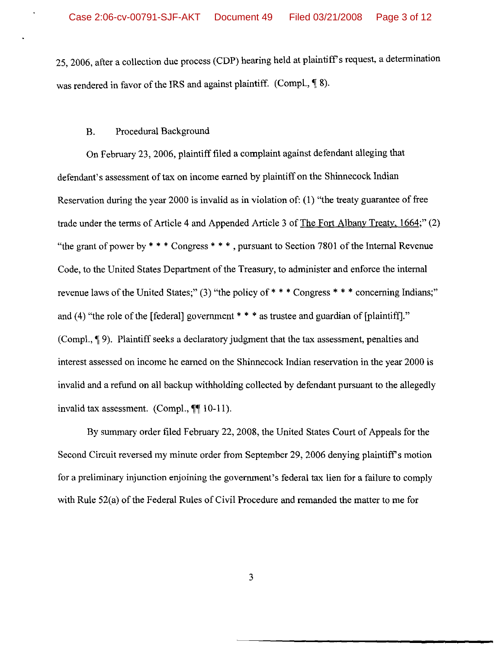25, 2006, after a collection due process (CDP) hearing held at plaintiff's request, a determination was rendered in favor of the IRS and against plaintiff. (Compl.,  $\P$  8).

## B. Procedural Background

On February 23, 2006, plaintifffiled a complaint against defendant alleging that defendant's assessment of tax on income earned by plaintiff on the Shinnecock Indian Reservation during the year 2000 is invalid as in violation of:  $(1)$  "the treaty guarantee of free trade under the terms of Article 4 and Appended Article 3 of The Fort Albany Treaty, 1664;" (2) "the grant of power by  $* * *$  Congress  $* * *$ , pursuant to Section 7801 of the Internal Revenue Code, to the United States Department of the Treasury, to administer and enforce the internal revenue laws of the United States;" (3) "the policy of  $***$  Congress  $***$  concerning Indians;" and (4) "the role of the [federal] government \* \* \* as trustee and guardian of [plaintiff]." (Compl., ¶9). Plaintiff seeks a declaratory judgment that the tax assessment, penalties and interest assessed on income he earned on the Shinnecock Indian reservation in the year 2000 is invalid and a refund on all backup withholding collected by defendant pursuant to the allegedly invalid tax assessment. (Compl.,  $\P\P$  10-11).

By summary order filed February 22, 2008, the United States Court of Appeals for the Second Circuit reversed my minute order from September 29, 2006 denying plaintiff's motion for a preliminary injunction enjoining the government's federal tax lien for a failure to comply with Rule  $52(a)$  of the Federal Rules of Civil Procedure and remanded the matter to me for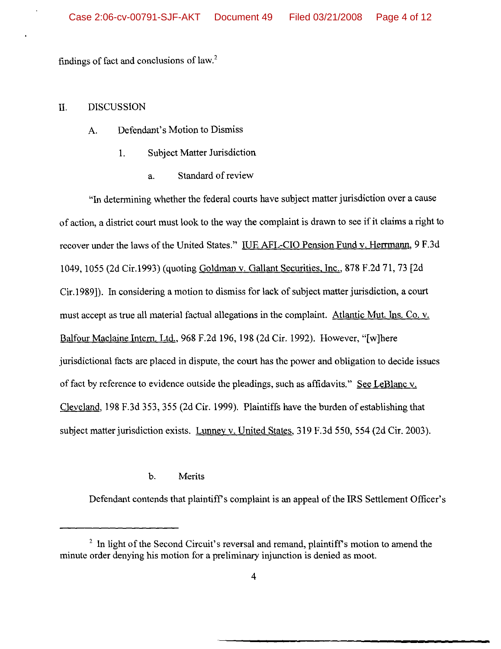findings of fact and conclusions of law.<sup>2</sup>

#### II. DISCUSSION

## A. Defendant's Motion to Dismiss

- 1. Subject Matter Jurisdiction
	- a. Standard of review

"In determining whether the federal courts have subject matter jurisdiction over a cause of action, a district court must look to the way the complaint is drawn to see if it claims a right to recover under the laws of the United States." IUE AFL-CIO Pension Fund v. Herrmann, 9 F.3d 1049,1055 (2d Cir.1993) (quoting Goldman v. Gallant Securities, Inc., 878 F.2d 71, 73 [2d Cir.1989]). In considering a motion to dismiss for lack of subject matter jurisdiction, a court must accept as true all material factual allegations in the complaint. Atlantic Mut. Ins. Co. v. Balfour Maclaine Intern. Ltd., 968 F.2d 196, 198 (2d Cir. 1992). However, "[w]here jurisdictional facts are placed in dispute, the court has the power and obligation to decide issues of fact by reference to evidence outside the pleadings, such as affidavits." See LeBlanc v. Cleveland, 198 F.3d 353, 355 (2d Cir. 1999). Plaintiffs have the burden of establishing that subject matter jurisdiction exists. Lunney v. United States, 319 F.3d 550, 554 (2d Cir. 2003).

#### b. Merits

Defendant contends that plaintiff's complaint is an appeal of the IRS Settlement Officer's

 $2 \text{ In light of the Second Circuit's reversal and remand, plaintiff's motion to amend the}$ minute order denying his motion for a preliminary injunction is denied as moot.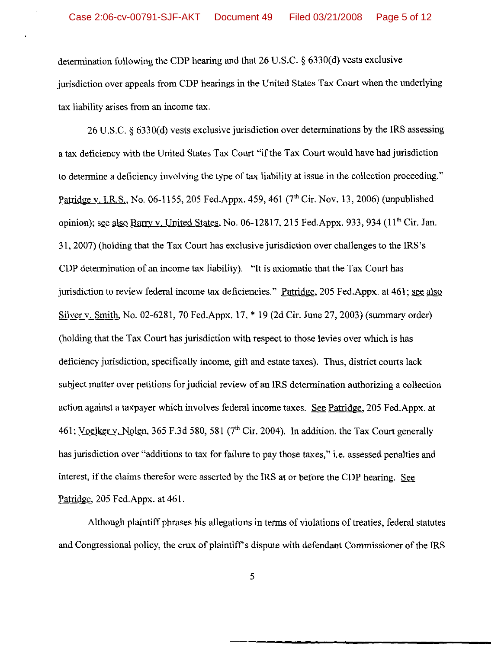determination following the CDP hearing and that 26 U.S.C. § 6330(d) vests exclusive jurisdiction over appeals from CDP hearings in the United States Tax Court when the underlying tax liability arises from an income tax.

26 U.S.C. § 6330(d) vests exclusive jurisdiction over determinations by the IRS assessing a tax deficiency with the United States Tax Court "if the Tax Court would have had jurisdiction to determine a deficiency involving the type of tax liability at issue in the collection proceeding." Patridge v. I.R.S., No. 06-1155, 205 Fed.Appx. 459, 461 ( $7<sup>th</sup> Cir. Nov. 13, 2006$ ) (unpublished opinion); see also Barry v. United States, No. 06-12817, 215 Fed.Appx, 933, 934 (11<sup>th</sup> Cir. Jan. 31, 2007) (holding that the Tax Court has exclusive jurisdiction over challenges to the IRS's CDP determination of an income tax liability). "It is axiomatic that the Tax Court has jurisdiction to review federal income tax deficiencies." Patridge, 205 Fed.Appx. at 461; see also Silver v. Smith, No. 02-6281, 70 Fed.Appx. 17, \* 19 (2d Cir. June 27, 2003) (summary order) (holding that the Tax Court has jurisdiction with respect to those levies over which is has deficiency jurisdiction, specifically income, gift and estate taxes). Thus, district courts lack subject matter over petitions for judicial review of an IRS determination authorizing a collection action against a taxpayer which invoIves federal income taxes. See Patridge, 205 Fed.Appx. at 461; Voelker v. Nolen, 365 F.3d 580, 581 ( $7<sup>th</sup>$  Cir. 2004). In addition, the Tax Court generally has jurisdiction over "additions to tax for failure to pay those taxes," i.e. assessed penalties and interest, if the claims therefor were asserted by the IRS at or before the CDP hearing. See Patridge, 205 Fed.Appx. at 461.

Although plaintiff phrases his allegations in terms of violations of treaties, federal statutes and Congressional policy, the crux of plaintiff's dispute with defendant Commissioner of the IRS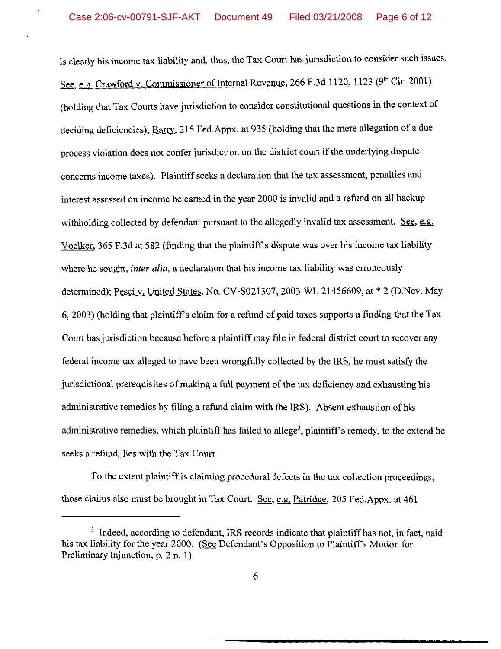is clearly his income tax liability and, thus, the Tax Court has jurisdiction to consider such issues. See, e.g. Crawford v. Commissioner of Internal Revenue, 266 F.3d 1120, 1123 (9<sup>th</sup> Cir. 2001) (holding that Tax Courts have jurisdiction to consider constitutional questions in the context of deciding deficiencies);  $\frac{Barry}{215}$  Fed.Appx. at 935 (holding that the mere allegation of a due process violation does not confer jurisdiction on the district court if the underlying dispute concerns income taxes). Plaintiff seeks a declaration that the tax assessment, penalties and interest assessed on income he earned in the year 2000 is invalid and a refund on all backup withholding collected by defendant pursuant to the allegedly invalid tax assessment. See, e.g. Voelker, 365 F.3d at 582 (finding that the plaintiffs dispute was over his income tax liability where he sought, *inter alia,* a declaration that his income tax liability was erroneously determined); Pesci v. United States, No. CV-S021307, 2003 WL 21456609, at \* 2 (D.Nev. May 6,2003) (holding that plaintiff's claim for a refund of paid taxes supports a finding that the Tax Court has jurisdiction because before a plaintiff may file in federal district court to recover any federal income tax alleged to have been wrongfully collected by the IRS, he must satisfy the jurisdictional prerequisites of making a full payment of the tax deficiency and exhausting his administrative remedies by filing a refund claim with the IRS). Absent exhaustion of his administrative remedies, which plaintiff has failed to allege<sup>3</sup>, plaintiff's remedy, to the extend he seeks a refund, lies with the Tax Court.

To the extent plaintiff is claiming procedural defects in the tax collection proceedings, those claims also must be brought in Tax Court. See, e.g. Patridge, 205 Fed.Appx. at  $461$ 

<sup>&</sup>lt;sup>3</sup> Indeed, according to defendant, IRS records indicate that plaintiff has not, in fact, paid his tax liability for the year 2000. (See Defendant's Opposition to Plaintiff's Motion for Preliminary Injunction, p. 2 n. I).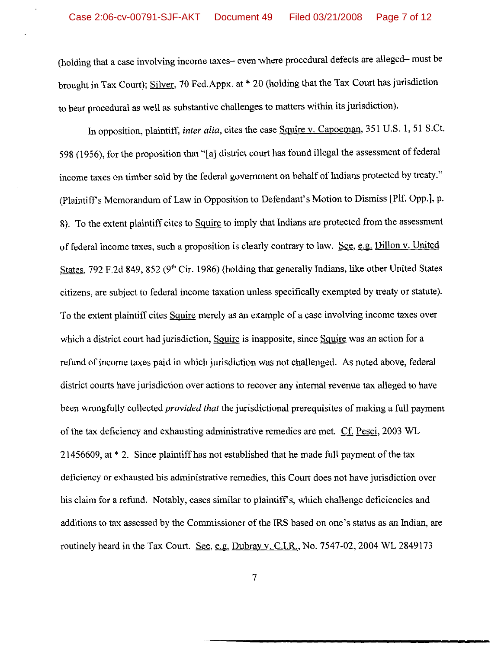(holding that a case involving income taxes- even where procedural defects are alleged- must be brought in Tax Court); Silver, 70 Fed. Appx. at \* 20 (holding that the Tax Court has jurisdiction to hear procedural as well as substantive challenges to matters within its jurisdiction).

In opposition, plaintiff, *inter alia,* cites the case Squire v. Capoeman, 351 U.S. 1, 51 S.Ct. 598 (1956), for the proposition that "[a] district court has found illegal the assessment of federal income taxes on timber sold by the federal government on behalf of Indians protected by treaty." (Plaintiffs Memorandum ofLaw in Opposition to Defendant's Motion to Dismiss [plf. Opp.], p. 8). To the extent plaintiff cites to Squire to imply that Indians are protected from the assessment of federal income taxes, such a proposition is clearly contrary to law. See, e.g. Dillon v. United States, 792 F.2d 849, 852 ( $9<sup>th</sup>$  Cir. 1986) (holding that generally Indians, like other United States citizens, are subject to federal income taxation unless specifically exempted by treaty or statute). To the extent plaintiff cites Squire merely as an example of a case involving income taxes over which a district court had jurisdiction, Squire is inapposite, since Squire was an action for a refund of income taxes paid in which jurisdiction was not challenged. As noted above, federal district courts have jurisdiction over actions to recover any internal revenue tax alleged to have been wrongfully collected *provided that* the jurisdictional prerequisites of making a full payment of the tax deficiency and exhausting administrative remedies are met. Cf. Pesci, 2003 WL  $21456609$ , at  $*$  2. Since plaintiff has not established that he made full payment of the tax deficiency or exhausted his administrative remedies, this Court does not have jurisdiction over his claim for a refund. Notably, cases similar to plaintiff's, which challenge deficiencies and additions to tax assessed by the Commissioner of the IRS based on one's status as an Indian, are routinely heard in the Tax Court. See, e.g. Dubray v. C.I.R., No. 7547-02, 2004 WL 2849173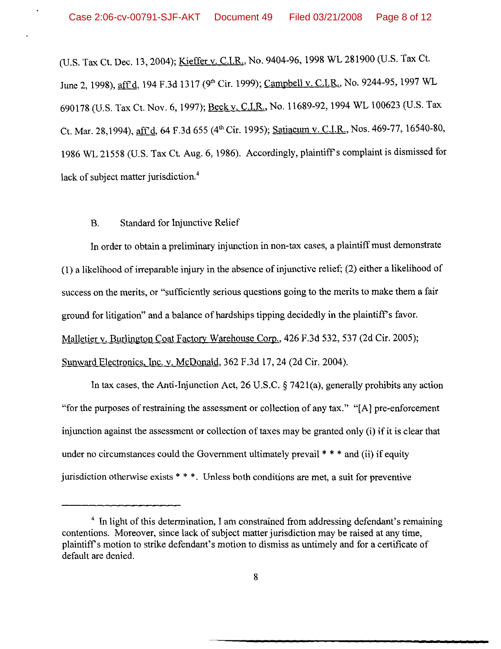(U.S. Tax Ct. Dec. 13,2004); Kieffer v. C.I.R., No. 9404-96,1998 WL 281900 (U.S. Tax Ct. June 2, 1998), aff d, 194 F.3d 1317 (9<sup>th</sup> Cir. 1999); Campbell v. C.I.R., No. 9244-95, 1997 WL 690178 (U.S. Tax Ct. Nov. 6, 1997); Beck v. C.I.R., No. 11689-92, 1994 WL 100623 (U.S. Tax Ct. Mar. 28,1994), aff'd, 64 F.3d 655 (4<sup>th</sup> Cir. 1995); Satiacum v. C.I.R., Nos. 469-77, 16540-80, 1986 WL 21558 (U.S. Tax Ct. Aug. 6, 1986). Accordingly, plaintiff's complaint is dismissed for lack of subject matter jurisdiction.<sup>4</sup>

#### B. Standard for Injunctive Relief

In order to obtain a preliminary injunction in non-tax cases, a plaintiff must demonstrate  $(1)$  a likelihood of irreparable injury in the absence of injunctive relief;  $(2)$  either a likelihood of success on the merits, or "sufficiently serious questions going to the merits to make them a fair ground for litigation" and a balance of hardships tipping decidedly in the plaintiffs favor. Malletier v. Burlington Coat Factory Warehouse Corp., 426 F.3d 532, 537 (2d Cir. 2005); Sunward Electronics, Inc. v. McDonald, 362 F.3d 17,24 (2d Cir. 2004).

In tax cases, the Anti-Injunction Act, 26 U.S.C. § 7421 (a), generally prohibits any action "for the purposes of restraining the assessment or collection of any tax." " $[A]$  pre-enforcement injunction against the assessment or collection of taxes may be granted only (i) if it is clear that under no circumstances could the Government ultimately prevail \* \* \* and (ii) if equity jurisdiction otherwise exists \* \*\*. Unless both conditions are met, a suit for preventive

 $<sup>4</sup>$  In light of this determination, I am constrained from addressing defendant's remaining</sup> contentions. Moreover, since lack of subject matter jurisdiction may be raised at any time, plaintiff's motion to strike defendant's motion to dismiss as untimely and for a certificate of default are denied.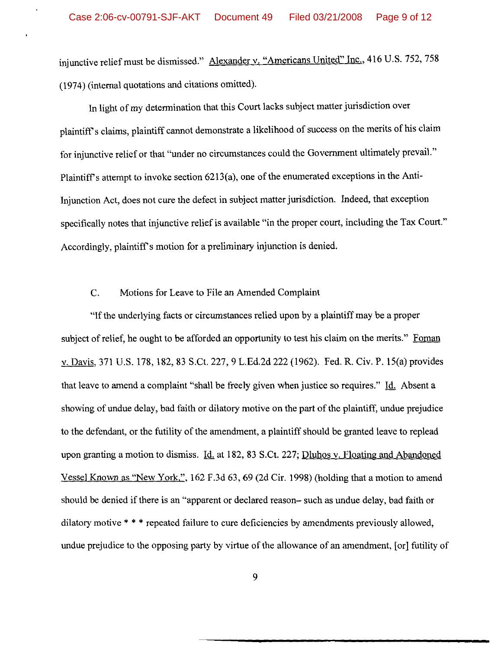injunctive relief must be dismissed." Alexander v. "Americans United" Inc., 416 U.S. 752, 758 (1974) (internal quotations and citations omitted).

In light of my determination that this Court lacks subject matter jurisdiction over plaintiff's claims, plaintiff cannot demonstrate a likelihood of success on the merits of his claim for injunctive relief or that "under no circumstances could the Government ultimately prevail." Plaintiff's attempt to invoke section  $6213(a)$ , one of the enumerated exceptions in the Anti-Injunction Act, does not cure the defect in subject matter jurisdiction. Indeed, that exception specifically notes that injunctive relief is available "in the proper court, including the Tax Court." Accordingly, plaintiff's motion for a preliminary injunction is denied.

#### C. Motions for Leave to File an Amended Complaint

"Ifthe underlying facts or circumstances relied upon by a plaintiff may be a proper subject of relief, he ought to be afforded an opportunity to test his claim on the merits." Foman v. Davis, 371 U.S. 178, 182,83 S.Ct. 227,9 L.Ed.2d 222 (1962). Fed. R. Civ. P. 15(a) provides that leave to amend a complaint "shall be freely given when justice so requires." Id. Absent a showing of undue delay, bad faith or dilatory motive on the part of the plaintiff, undue prejudice to the defendant, or the futility of the amendment, a plaintiff should be granted leave to replead upon granting a motion to dismiss. Id. at 182, 83 S.Ct. 227; Dluhos v. Floating and Abandoned Vessel Known as "New York,", 162 F.3d 63, 69 (2d Cir. 1998) (holding that a motion to amend should be denied if there is an "apparent or declared reason- such as undue delay, bad faith or dilatory motive \* \* \* repeated failure to cure deficiencies by amendments previously allowed, undue prejudice to the opposing party by virtue of the allowance of an amendment, [or] futility of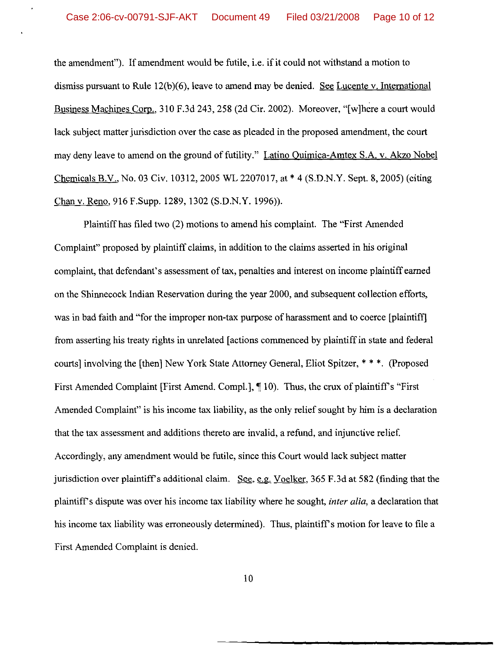the amendment"). If amendment would be futile, i.e. if it could not withstand a motion to dismiss pursuant to Rule 12(b)(6), leave to amend may be denied. See Lucente v. International Business Machines Corp., 310 F.3d 243, 258 (2d Cir. 2002). Moreover, "[w]here a court would lack subject matter jurisdiction over the case as pleaded in the proposed amendment, the court may deny leave to amend on the ground of futility." Latino Quimica-Amtex S.A. v. Akzo Nobel Chemicals B.V., No. 03 Civ. 10312, 2005 WL 2207017, at \* 4 (S.D.N.Y. Sept. 8, 2005) (citing Chan v. Reno, 916 F.Supp. 1289, 1302 (S.D.N.Y. 1996)).

Plaintiff has filed two (2) motions to amend his complaint. The "First Amended Complaint" proposed by plaintiff claims, in addition to the claims asserted in his original complaint, that defendant's assessment of tax, penalties and interest on income plaintiff earned on the Shinnecock Indian Reservation during the year 2000, and subsequent collection efforts, was in bad faith and "for the improper non-tax purpose of harassment and to coerce [plaintiff] from asserting his treaty rights in unrelated [actions commenced by plaintiffin state and federal courts] involving the [then] New York State Attorney General, Eliot Spitzer, \* \* \*. (Proposed First Amended Complaint [First Amend. Compl.], ¶ 10). Thus, the crux of plaintiff's "First Amended Complaint" is his income tax liability, as the only relief sought by him is a declaration that the tax assessment and additions thereto are invalid, a refund, and injunctive relief. Accordingly, any amendment would be futile, since this Court would lack subject matter jurisdiction over plaintiff's additional claim. See, e.g. Voelker, 365 F.3d at 582 (finding that the plaintiff's dispute was over his income tax liability where he sought, *inter alia,* a declaration that his income tax liability was erroneously determined). Thus, plaintiff's motion for leave to file a First Amended Complaint is denied.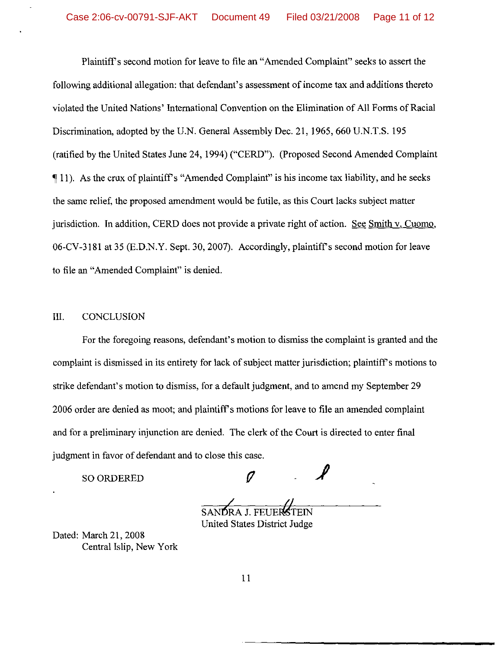Plaintiffs second motion for leave to file an "Amended Complaint" seeks to assert the following additional allegation: that defendant's assessment of income tax and additions thereto violated the United Nations' International Convention on the Elimination of All Forms of Racial Discrimination, adopted by the U.N. General Assembly Dec. 21,1965,660 U.N.T.S. 195 (ratified by the United States June 24,1994) ("CERD"). (Proposed Second Amended Complaint  $\P$  11). As the crux of plaintiff's "Amended Complaint" is his income tax liability, and he seeks the same relief, the proposed amendment would be futile, as this Court lacks subject matter jurisdiction. **In** addition, CERD does not provide a private right of action. See Smith v. Cuomo, 06-CV-3l8l at 35 (E.D.N.Y. Sept. 30, 2007). Accordingly, plaintiffs second motion for leave to file an "Amended Complaint" is denied.

## III. CONCLUSION

For the foregoing reasons, defendant's motion to dismiss the complaint is granted and the complaint is dismissed in its entirety for lack of subject matter jurisdiction; plaintiff's motions to strike defendant's motion to dismiss, for a default judgment, and to amend my September 29 2006 order are denied as moot; and plaintiff's motions for leave to file an amended complaint and for a preliminary injunction are denied. The clerk of the Court is directed to enter final judgment in favor of defendant and to close this case.

*(J*

SO ORDERED

*<i>p*RA J. FELIER United States District Judge

Dated: March 21, 2008 Central Islip, New York